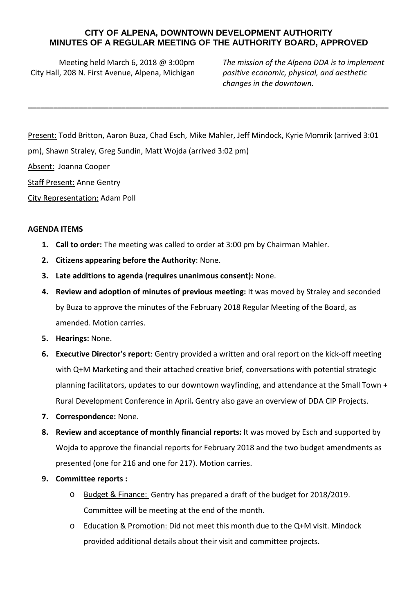## **CITY OF ALPENA, DOWNTOWN DEVELOPMENT AUTHORITY MINUTES OF A REGULAR MEETING OF THE AUTHORITY BOARD, APPROVED**

**\_\_\_\_\_\_\_\_\_\_\_\_\_\_\_\_\_\_\_\_\_\_\_\_\_\_\_\_\_\_\_\_\_\_\_\_\_\_\_\_\_\_\_\_\_\_\_\_\_\_\_\_\_\_\_\_\_\_\_\_\_\_\_\_\_\_\_\_\_\_\_\_\_\_\_\_\_\_\_\_\_\_\_\_\_**

Meeting held March 6, 2018 @ 3:00pm City Hall, 208 N. First Avenue, Alpena, Michigan

*The mission of the Alpena DDA is to implement positive economic, physical, and aesthetic changes in the downtown.*

Present: Todd Britton, Aaron Buza, Chad Esch, Mike Mahler, Jeff Mindock, Kyrie Momrik (arrived 3:01 pm), Shawn Straley, Greg Sundin, Matt Wojda (arrived 3:02 pm) Absent: Joanna Cooper Staff Present: Anne Gentry

City Representation: Adam Poll

## **AGENDA ITEMS**

- **1. Call to order:** The meeting was called to order at 3:00 pm by Chairman Mahler.
- **2. Citizens appearing before the Authority**: None.
- **3. Late additions to agenda (requires unanimous consent):** None.
- **4. Review and adoption of minutes of previous meeting:** It was moved by Straley and seconded by Buza to approve the minutes of the February 2018 Regular Meeting of the Board, as amended. Motion carries.
- **5. Hearings:** None.
- **6. Executive Director's report**: Gentry provided a written and oral report on the kick-off meeting with Q+M Marketing and their attached creative brief, conversations with potential strategic planning facilitators, updates to our downtown wayfinding, and attendance at the Small Town + Rural Development Conference in April**.** Gentry also gave an overview of DDA CIP Projects.
- **7. Correspondence:** None.
- **8. Review and acceptance of monthly financial reports:** It was moved by Esch and supported by Wojda to approve the financial reports for February 2018 and the two budget amendments as presented (one for 216 and one for 217). Motion carries.
- **9. Committee reports :**
	- o Budget & Finance: Gentry has prepared a draft of the budget for 2018/2019. Committee will be meeting at the end of the month.
	- o Education & Promotion: Did not meet this month due to the Q+M visit. Mindock provided additional details about their visit and committee projects.